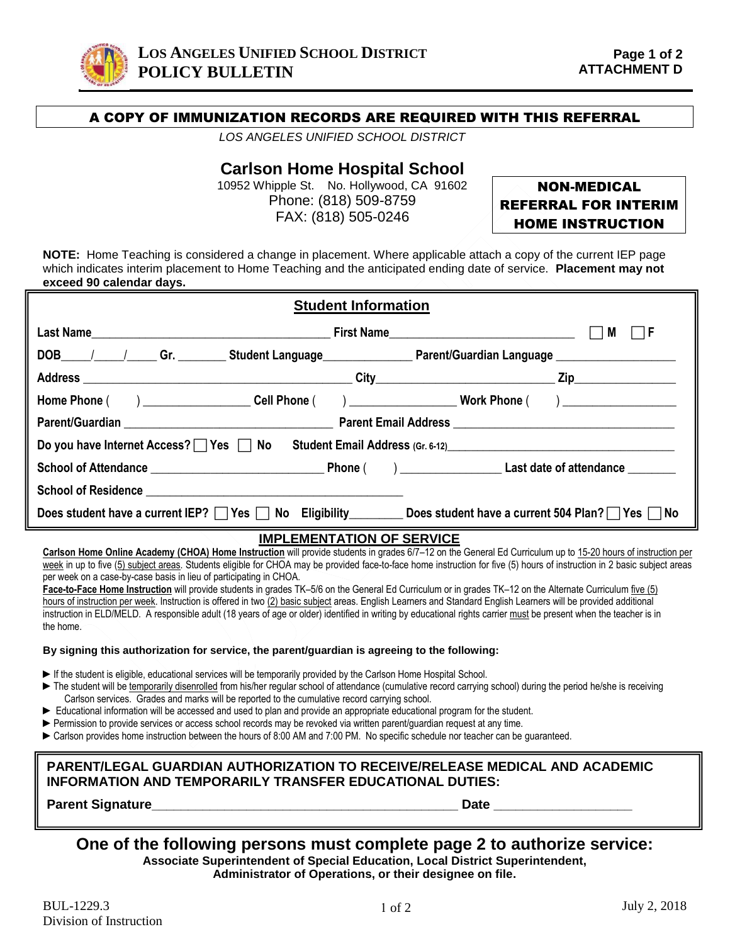

### A COPY OF IMMUNIZATION RECORDS ARE REQUIRED WITH THIS REFERRAL

*LOS ANGELES UNIFIED SCHOOL DISTRICT*

# **Carlson Home Hospital School**

10952 Whipple St. No. Hollywood, CA 91602 Phone: (818) 509-8759 FAX: (818) 505-0246

# NON-MEDICAL REFERRAL FOR INTERIM HOME INSTRUCTION

**NOTE:** Home Teaching is considered a change in placement. Where applicable attach a copy of the current IEP page which indicates interim placement to Home Teaching and the anticipated ending date of service. **Placement may not exceed 90 calendar days.**

|                                                                                                                     | <b>Student Information</b> |      |
|---------------------------------------------------------------------------------------------------------------------|----------------------------|------|
|                                                                                                                     |                            | l IF |
| DOB_____/______/______Gr. __________Student Language___________________Parent/Guardian Language ___________________ |                            |      |
|                                                                                                                     |                            |      |
| Home Phone () ______________________Cell Phone () _______________________________ Work Phone () ______________      |                            |      |
|                                                                                                                     |                            |      |
| Do you have Internet Access? TYes TNo Student Email Address (Gr. 6-12)                                              |                            |      |
|                                                                                                                     |                            |      |
|                                                                                                                     |                            |      |
| Does student have a current IEP? Yes No Eligibility Does student have a current 504 Plan? Yes No                    |                            |      |

#### **IMPLEMENTATION OF SERVICE**

**Carlson Home Online Academy (CHOA) Home Instruction** will provide students in grades 6/7–12 on the General Ed Curriculum up to 15-20 hours of instruction per week in up to five (5) subject areas. Students eligible for CHOA may be provided face-to-face home instruction for five (5) hours of instruction in 2 basic subject areas per week on a case-by-case basis in lieu of participating in CHOA.

**Face-to-Face Home Instruction** will provide students in grades TK–5/6 on the General Ed Curriculum or in grades TK–12 on the Alternate Curriculum five (5) hours of instruction per week. Instruction is offered in two (2) basic subject areas. English Learners and Standard English Learners will be provided additional instruction in ELD/MELD. A responsible adult (18 years of age or older) identified in writing by educational rights carrier must be present when the teacher is in the home.

#### **By signing this authorization for service, the parent/guardian is agreeing to the following:**

- ► If the student is eligible, educational services will be temporarily provided by the Carlson Home Hospital School.
- ► The student will be temporarily disenrolled from his/her regular school of attendance (cumulative record carrying school) during the period he/she is receiving Carlson services. Grades and marks will be reported to the cumulative record carrying school.
- ► Educational information will be accessed and used to plan and provide an appropriate educational program for the student.
- ► Permission to provide services or access school records may be revoked via written parent/quardian request at any time.
- ► Carlson provides home instruction between the hours of 8:00 AM and 7:00 PM. No specific schedule nor teacher can be quaranteed.

### **PARENT/LEGAL GUARDIAN AUTHORIZATION TO RECEIVE/RELEASE MEDICAL AND ACADEMIC INFORMATION AND TEMPORARILY TRANSFER EDUCATIONAL DUTIES:**

**Parent Signature\_\_\_\_\_\_\_\_\_\_\_\_\_\_\_\_\_\_\_\_\_\_\_\_\_\_\_\_\_\_\_\_\_\_\_\_\_\_\_\_\_\_ Date \_\_\_\_\_\_\_\_\_\_\_\_\_\_\_\_\_\_\_**

# **One of the following persons must complete page 2 to authorize service:**

**Associate Superintendent of Special Education, Local District Superintendent,** 

**Administrator of Operations, or their designee on file.**